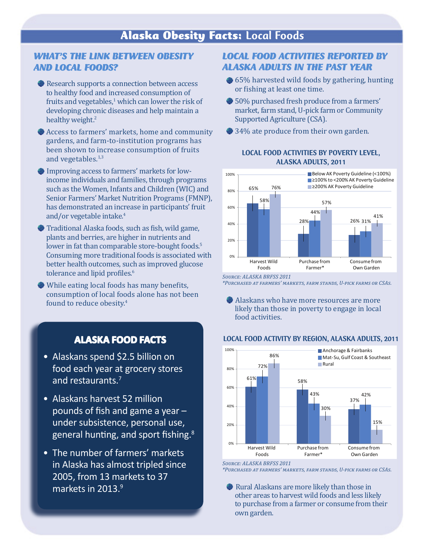## *WHAT'S THE LINK BETWEEN OBESITY AND LOCAL FOODS?*

Research supports a connection between access to healthy food and increased consumption of fruits and vegetables, $^1$  which can lower the risk of developing chronic diseases and help maintain a healthy weight.<sup>2</sup>

Access to farmers' markets, home and community gardens, and farm-to-institution programs has been shown to increase consumption of fruits and vegetables.<sup>1,3</sup>

- Improving access to farmers' markets for lowincome individuals and families, through programs such as the Women, Infants and Children (WIC) and Senior Farmers' Market Nutrition Programs (FMNP), has demonstrated an increase in participants' fruit and/or vegetable intake.4
- Traditional Alaska foods, such as fish, wild game, plants and berries, are higher in nutrients and lower in fat than comparable store-bought foods.<sup>5</sup> Consuming more traditional foods is associated with better health outcomes, such as improved glucose tolerance and lipid profiles.<sup>6</sup>
- While eating local foods has many benefits, consumption of local foods alone has not been found to reduce obesity.<sup>4</sup>

# **ALASKA FOOD FACTS**

- Alaskans spend \$2.5 billion on food each year at grocery stores and restaurants.<sup>7</sup>
- Alaskans harvest 52 million pounds of fish and game a year – under subsistence, personal use, general hunting, and sport fishing.<sup>8</sup>
- The number of farmers' markets in Alaska has almost tripled since 2005, from 13 markets to 37 markets in 2013.<sup>9</sup>

## *LOCAL FOOD ACTIVITIES REPORTED BY ALASKA ADULTS IN THE PAST YEAR*

- $\bullet$  65% harvested wild foods by gathering, hunting or fishing at least one time.
- $$50\%$  purchased fresh produce from a farmers' market, farm stand, U-pick farm or Community Supported Agriculture (CSA).
- $\bullet$  34% ate produce from their own garden.



### LOCAL FOOD ACTIVITIES BY POVERTY LEVEL, ALASKA ADULTS, 2011

*Source: ALASKA BRFSS 2011*

*\*Purchased at farmers' markets, farm stands, U-pick farms or CSAs.*

 Alaskans who have more resources are more likely than those in poverty to engage in local food activities.

#### LOCAL FOOD ACTIVITY BY REGION, ALASKA ADULTS, 2011



*Source: ALASKA BRFSS 2011*

*\*Purchased at farmers' markets, farm stands, U-pick farms or CSAs.*

 Rural Alaskans are more likely than those in other areas to harvest wild foods and less likely to purchase from a farmer or consume from their own garden.